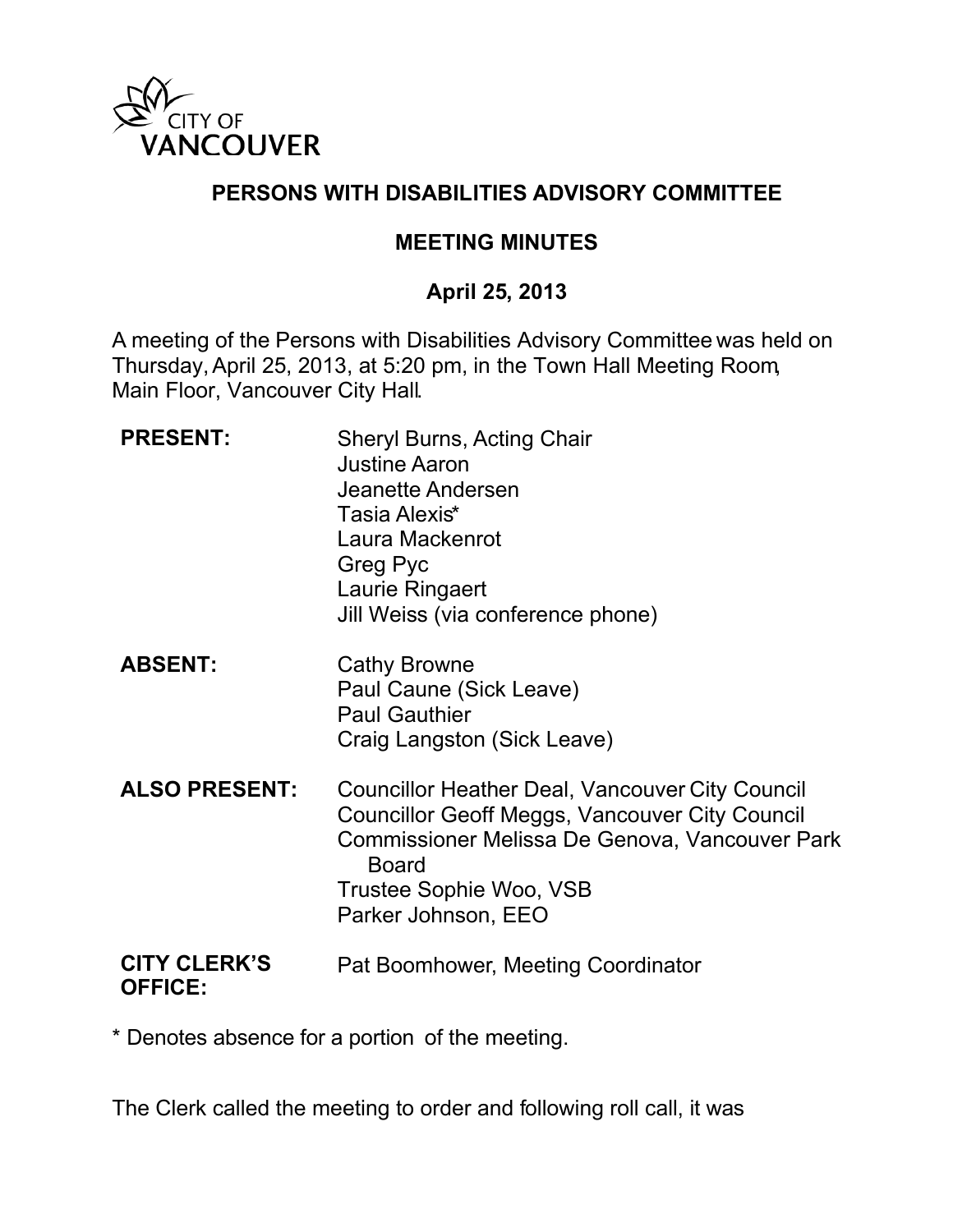

### **PERSONS WITH DISABILITIES ADVISORY COMMITTEE**

### **MEETING MINUTES**

## **April 25, 2013**

A meeting of the Persons with Disabilities Advisory Committee was held on Thursday, April 25, 2013, at 5:20 pm, in the Town Hall Meeting Room, Main Floor, Vancouver City Hall.

| <b>PRESENT:</b>                       | <b>Sheryl Burns, Acting Chair</b><br><b>Justine Aaron</b><br>Jeanette Andersen<br>Tasia Alexis*<br>Laura Mackenrot<br>Greg Pyc<br>Laurie Ringaert<br>Jill Weiss (via conference phone)                                              |
|---------------------------------------|-------------------------------------------------------------------------------------------------------------------------------------------------------------------------------------------------------------------------------------|
| <b>ABSENT:</b>                        | <b>Cathy Browne</b><br>Paul Caune (Sick Leave)<br><b>Paul Gauthier</b><br>Craig Langston (Sick Leave)                                                                                                                               |
| <b>ALSO PRESENT:</b>                  | <b>Councillor Heather Deal, Vancouver City Council</b><br><b>Councillor Geoff Meggs, Vancouver City Council</b><br>Commissioner Melissa De Genova, Vancouver Park<br><b>Board</b><br>Trustee Sophie Woo, VSB<br>Parker Johnson, EEO |
| <b>CITY CLERK'S</b><br><b>OFFICE:</b> | Pat Boomhower, Meeting Coordinator                                                                                                                                                                                                  |

\* Denotes absence for a portion of the meeting.

The Clerk called the meeting to order and following roll call, it was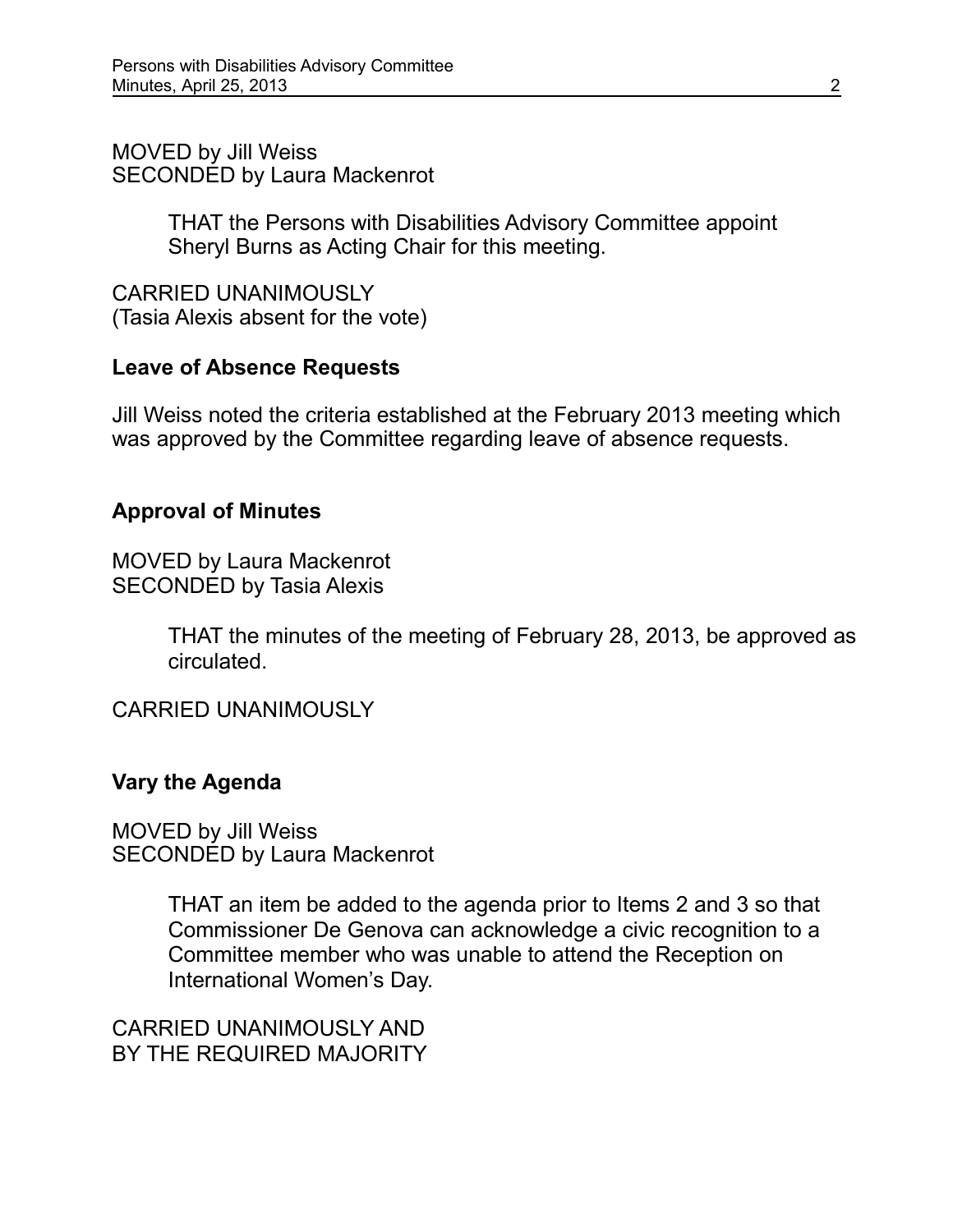MOVED by Jill Weiss SECONDED by Laura Mackenrot

> THAT the Persons with Disabilities Advisory Committee appoint Sheryl Burns as Acting Chair for this meeting.

CARRIED UNANIMOUSLY (Tasia Alexis absent for the vote)

#### **Leave of Absence Requests**

Jill Weiss noted the criteria established at the February 2013 meeting which was approved by the Committee regarding leave of absence requests.

## **Approval of Minutes**

MOVED by Laura Mackenrot SECONDED by Tasia Alexis

> THAT the minutes of the meeting of February 28, 2013, be approved as circulated.

CARRIED UNANIMOUSLY

### **Vary the Agenda**

MOVED by Jill Weiss SECONDED by Laura Mackenrot

> THAT an item be added to the agenda prior to Items 2 and 3 so that Commissioner De Genova can acknowledge a civic recognition to a Committee member who was unable to attend the Reception on International Women's Day.

CARRIED UNANIMOUSLY AND BY THE REQUIRED MAJORITY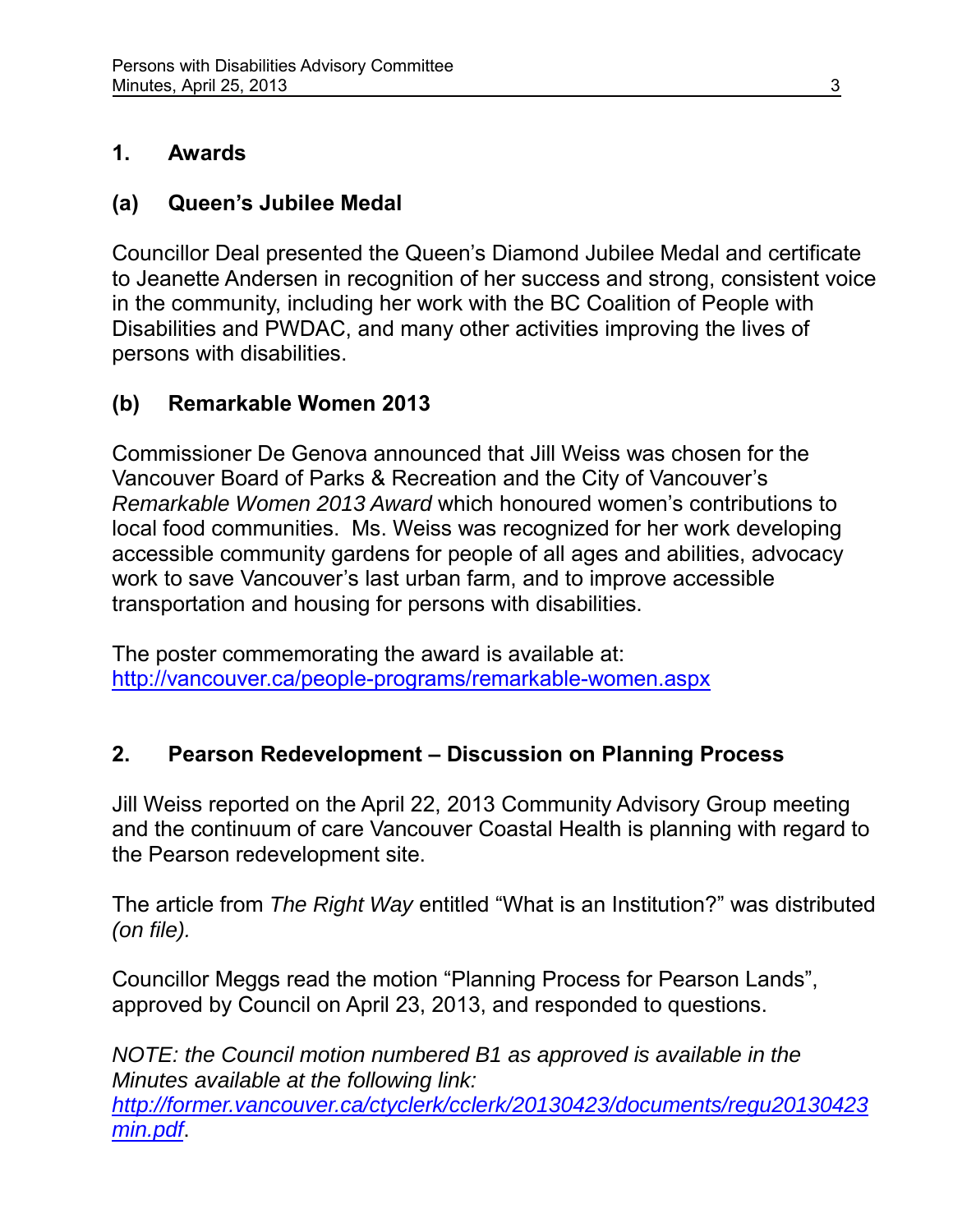## **1. Awards**

## **(a) Queen's Jubilee Medal**

Councillor Deal presented the Queen's Diamond Jubilee Medal and certificate to Jeanette Andersen in recognition of her success and strong, consistent voice in the community, including her work with the BC Coalition of People with Disabilities and PWDAC, and many other activities improving the lives of persons with disabilities.

# **(b) Remarkable Women 2013**

Commissioner De Genova announced that Jill Weiss was chosen for the Vancouver Board of Parks & Recreation and the City of Vancouver's *Remarkable Women 2013 Award* which honoured women's contributions to local food communities. Ms. Weiss was recognized for her work developing accessible community gardens for people of all ages and abilities, advocacy work to save Vancouver's last urban farm, and to improve accessible transportation and housing for persons with disabilities.

The poster commemorating the award is available at: <http://vancouver.ca/people-programs/remarkable-women.aspx>

## **2. Pearson Redevelopment – Discussion on Planning Process**

Jill Weiss reported on the April 22, 2013 Community Advisory Group meeting and the continuum of care Vancouver Coastal Health is planning with regard to the Pearson redevelopment site.

The article from *The Right Way* entitled "What is an Institution?" was distributed *(on file).*

Councillor Meggs read the motion "Planning Process for Pearson Lands", approved by Council on April 23, 2013, and responded to questions.

*NOTE: the Council motion numbered B1 as approved is available in the Minutes available at the following link: [http://former.vancouver.ca/ctyclerk/cclerk/20130423/documents/regu20130423](http://former.vancouver.ca/ctyclerk/cclerk/20130423/documents/regu20130423min.pdf) [min.pdf](http://former.vancouver.ca/ctyclerk/cclerk/20130423/documents/regu20130423min.pdf)*.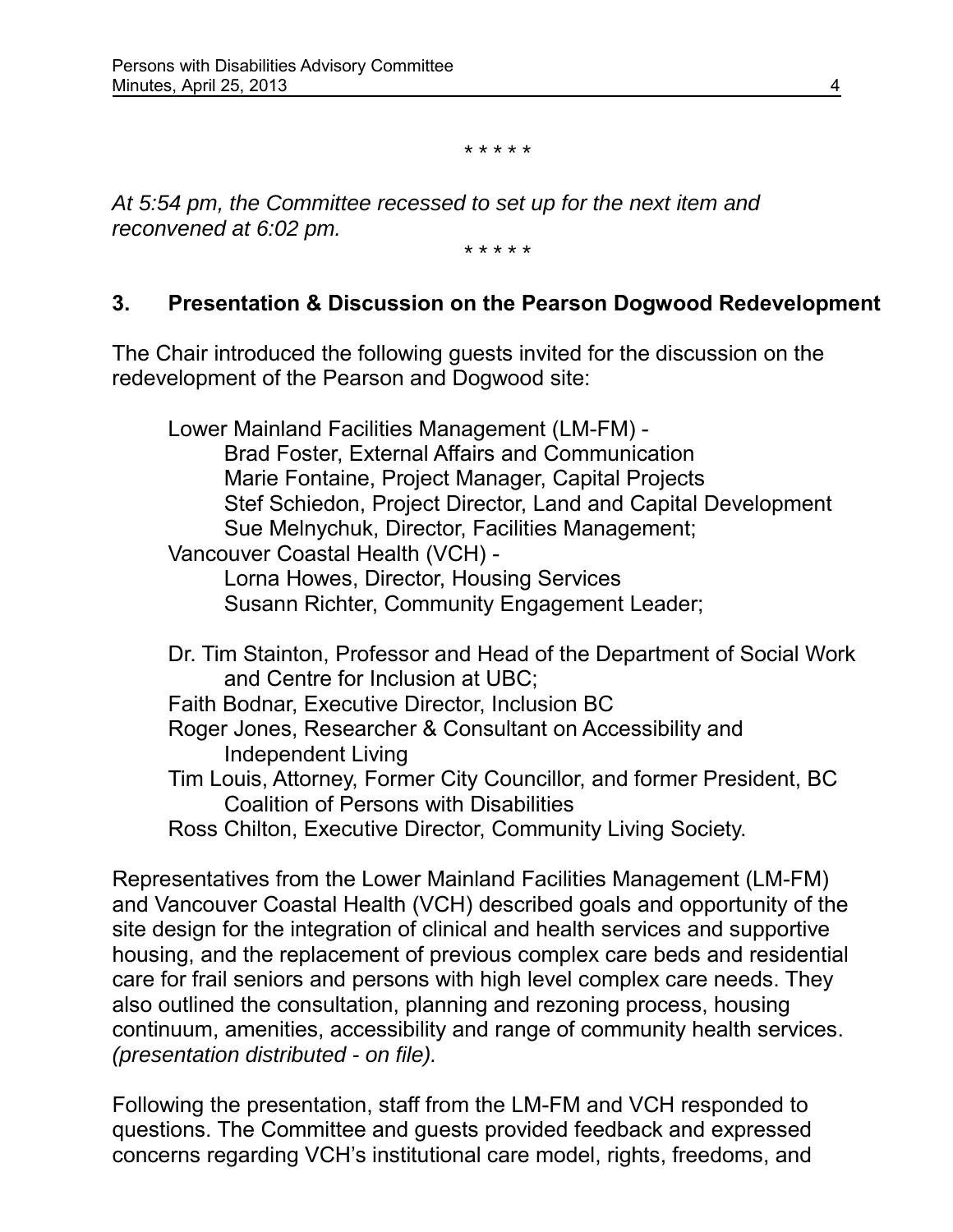*\* \* \* \* \**

*At 5:54 pm, the Committee recessed to set up for the next item and reconvened at 6:02 pm.*

*\* \* \* \* \**

#### **3. Presentation & Discussion on the Pearson Dogwood Redevelopment**

The Chair introduced the following guests invited for the discussion on the redevelopment of the Pearson and Dogwood site:

Lower Mainland Facilities Management (LM-FM) - Brad Foster, External Affairs and Communication Marie Fontaine, Project Manager, Capital Projects Stef Schiedon, Project Director, Land and Capital Development Sue Melnychuk, Director, Facilities Management; Vancouver Coastal Health (VCH) - Lorna Howes, Director, Housing Services Susann Richter, Community Engagement Leader; Dr. Tim Stainton, Professor and Head of the Department of Social Work and Centre for Inclusion at UBC; Faith Bodnar, Executive Director, Inclusion BC Roger Jones, Researcher & Consultant on Accessibility and Independent Living Tim Louis, Attorney, Former City Councillor, and former President, BC Coalition of Persons with Disabilities Ross Chilton, Executive Director, Community Living Society.

Representatives from the Lower Mainland Facilities Management (LM-FM) and Vancouver Coastal Health (VCH) described goals and opportunity of the site design for the integration of clinical and health services and supportive housing, and the replacement of previous complex care beds and residential care for frail seniors and persons with high level complex care needs. They also outlined the consultation, planning and rezoning process, housing continuum, amenities, accessibility and range of community health services. *(presentation distributed - on file).* 

Following the presentation, staff from the LM-FM and VCH responded to questions. The Committee and guests provided feedback and expressed concerns regarding VCH's institutional care model, rights, freedoms, and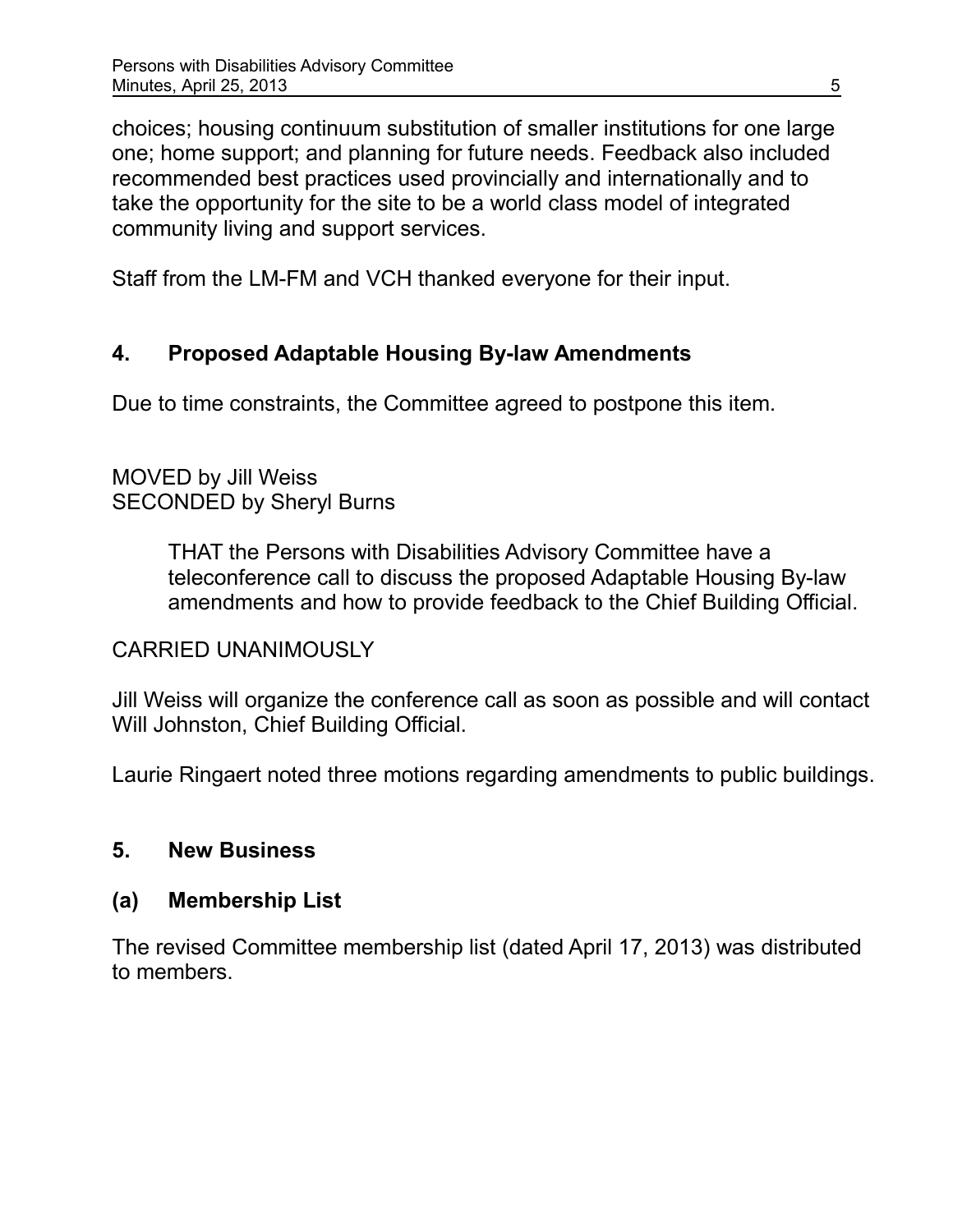choices; housing continuum substitution of smaller institutions for one large one; home support; and planning for future needs. Feedback also included recommended best practices used provincially and internationally and to take the opportunity for the site to be a world class model of integrated community living and support services.

Staff from the LM-FM and VCH thanked everyone for their input.

## **4. Proposed Adaptable Housing By-law Amendments**

Due to time constraints, the Committee agreed to postpone this item.

## MOVED by Jill Weiss SECONDED by Sheryl Burns

THAT the Persons with Disabilities Advisory Committee have a teleconference call to discuss the proposed Adaptable Housing By-law amendments and how to provide feedback to the Chief Building Official.

### CARRIED UNANIMOUSLY

Jill Weiss will organize the conference call as soon as possible and will contact Will Johnston, Chief Building Official.

Laurie Ringaert noted three motions regarding amendments to public buildings.

### **5. New Business**

### **(a) Membership List**

The revised Committee membership list (dated April 17, 2013) was distributed to members.